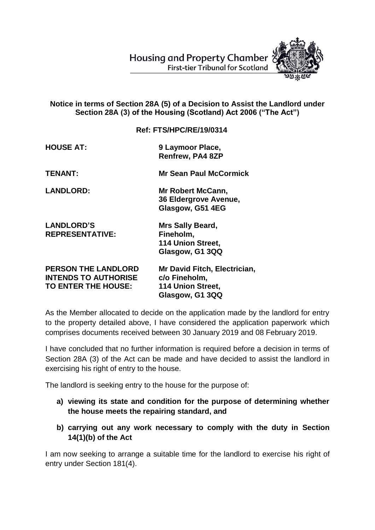**Housing and Property Chamber First-tier Tribunal for Scotland** 



## **Notice in terms of Section 28A (5) of a Decision to Assist the Landlord under Section 28A (3) of the Housing (Scotland) Act 2006 ("The Act")**

**Ref: FTS/HPC/RE/19/0314**

| <b>HOUSE AT:</b> | 9 Laymoor Place,        |
|------------------|-------------------------|
|                  | <b>Renfrew, PA4 8ZP</b> |

**TENANT: Mr Sean Paul McCormick**

**LANDLORD: Mr Robert McCann, 36 Eldergrove Avenue, Glasgow, G51 4EG**

**LANDLORD'S Mrs Sally Beard, REPRESENTATIVE: Fineholm,**

**114 Union Street, Glasgow, G1 3QQ**

**PERSON THE LANDLORD Mr David Fitch, Electrician, INTENDS TO AUTHORISE c/o Fineholm, TO ENTER THE HOUSE: 114 Union Street, Glasgow, G1 3QQ**

As the Member allocated to decide on the application made by the landlord for entry to the property detailed above, I have considered the application paperwork which comprises documents received between 30 January 2019 and 08 February 2019.

I have concluded that no further information is required before a decision in terms of Section 28A (3) of the Act can be made and have decided to assist the landlord in exercising his right of entry to the house.

The landlord is seeking entry to the house for the purpose of:

- **a) viewing its state and condition for the purpose of determining whether the house meets the repairing standard, and**
- **b) carrying out any work necessary to comply with the duty in Section 14(1)(b) of the Act**

I am now seeking to arrange a suitable time for the landlord to exercise his right of entry under Section 181(4).